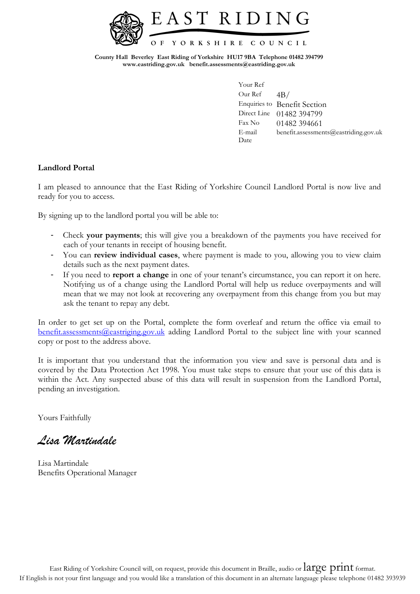

**County Hall Beverley East Riding of Yorkshire HU17 9BA Telephone 01482 394799 www.eastriding.gov.uk benefit.assessments@eastriding.gov.uk**

> Your Ref Our Ref  $4B/$ Enquiries to Benefit Section Direct Line 01482 394799 Fax No 01482 394661 E-mail benefit.assessments@eastriding.gov.uk Date

## **Landlord Portal**

I am pleased to announce that the East Riding of Yorkshire Council Landlord Portal is now live and ready for you to access.

By signing up to the landlord portal you will be able to:

- Check **your payments**; this will give you a breakdown of the payments you have received for each of your tenants in receipt of housing benefit.
- You can **review individual cases**, where payment is made to you, allowing you to view claim details such as the next payment dates.
- If you need to **report a change** in one of your tenant's circumstance, you can report it on here. Notifying us of a change using the Landlord Portal will help us reduce overpayments and will mean that we may not look at recovering any overpayment from this change from you but may ask the tenant to repay any debt.

In order to get set up on the Portal, complete the form overleaf and return the office via email to [benefit.assessments@eastriging.gov.uk](mailto:benefit.assessments@eastriging.gov.uk) adding Landlord Portal to the subject line with your scanned copy or post to the address above.

It is important that you understand that the information you view and save is personal data and is covered by the Data Protection Act 1998. You must take steps to ensure that your use of this data is within the Act. Any suspected abuse of this data will result in suspension from the Landlord Portal, pending an investigation.

Yours Faithfully

*Lisa Martindale*

Lisa Martindale Benefits Operational Manager